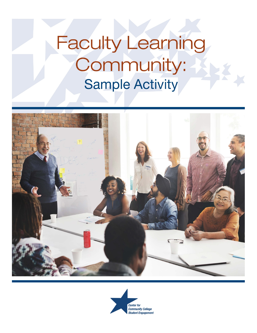# Faculty Learning Community: **Sample Activity**



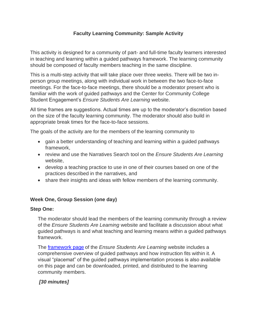# **Faculty Learning Community: Sample Activity**

This activity is designed for a community of part- and full-time faculty learners interested in teaching and learning within a guided pathways framework. The learning community should be composed of faculty members teaching in the same discipline.

This is a multi-step activity that will take place over three weeks. There will be two inperson group meetings, along with individual work in between the two face-to-face meetings. For the face-to-face meetings, there should be a moderator present who is familiar with the work of guided pathways and the Center for Community College Student Engagement's *Ensure Students Are Learning* website.

All time frames are suggestions. Actual times are up to the moderator's discretion based on the size of the faculty learning community. The moderator should also build in appropriate break times for the face-to-face sessions.

The goals of the activity are for the members of the learning community to

- gain a better understanding of teaching and learning within a guided pathways framework,
- review and use the Narratives Search tool on the *Ensure Students Are Learning* website,
- develop a teaching practice to use in one of their courses based on one of the practices described in the narratives, and
- share their insights and ideas with fellow members of the learning community.

## **Week One, Group Session (one day)**

#### **Step One:**

The moderator should lead the members of the learning community through a review of the *Ensure Students Are Learning* website and facilitate a discussion about what guided pathways is and what teaching and learning means within a guided pathways framework.

The [framework page](https://cccse.org/ESAL/framework) of the *Ensure Students Are Learning* website includes a comprehensive overview of guided pathways and how instruction fits within it. A visual "placemat" of the guided pathways implementation process is also available on this page and can be downloaded, printed, and distributed to the learning community members.

# *[30 minutes]*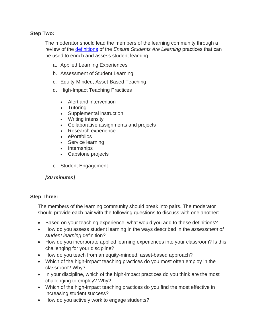#### **Step Two:**

The moderator should lead the members of the learning community through a review of the [definitions](https://cccse.org/ESAL/search/codes) of the *Ensure Students Are Learning* practices that can be used to enrich and assess student learning:

- a. Applied Learning Experiences
- b. Assessment of Student Learning
- c. Equity-Minded, Asset-Based Teaching
- d. High-Impact Teaching Practices
	- Alert and intervention
	- Tutoring
	- Supplemental instruction
	- Writing intensity
	- Collaborative assignments and projects
	- Research experience
	- ePortfolios
	- Service learning
	- Internships
	- Capstone projects
- e. Student Engagement

## *[30 minutes]*

#### **Step Three:**

The members of the learning community should break into pairs. The moderator should provide each pair with the following questions to discuss with one another:

- Based on your teaching experience, what would you add to these definitions?
- How do you assess student learning in the ways described in the *assessment of student learning* definition?
- How do you incorporate applied learning experiences into your classroom? Is this challenging for your discipline?
- How do you teach from an equity-minded, asset-based approach?
- Which of the high-impact teaching practices do you most often employ in the classroom? Why?
- In your discipline, which of the high-impact practices do you think are the most challenging to employ? Why?
- Which of the high-impact teaching practices do you find the most effective in increasing student success?
- How do you actively work to engage students?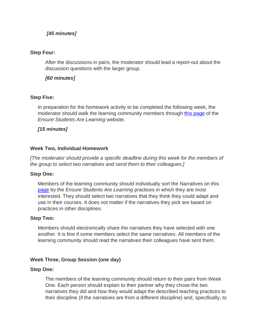## *[45 minutes]*

#### **Step Four:**

After the discussions in pairs, the moderator should lead a report-out about the discussion questions with the larger group.

## *[60 minutes]*

#### **Step Five:**

In preparation for the homework activity to be completed the following week, the moderator should walk the learning community members through [this page](https://cccse.org/ESAL/search) of the *Ensure Students Are Learning* website.

## *[15 minutes]*

#### **Week Two, Individual Homework**

*[The moderator should provide a specific deadline during this week for the members of the group to select two narratives and send them to their colleagues.]*

#### **Step One:**

Members of the learning community should individually sort the Narratives on this [page](https://cccse.org/ESAL/search) by the *Ensure Students Are Learning* practices in which they are most interested. They should select two narratives that they think they could adapt and use in their courses. It does not matter if the narratives they pick are based on practices in other disciplines.

#### **Step Two:**

Members should electronically share the narratives they have selected with one another. It is fine if some members select the same narratives. All members of the learning community should read the narratives their colleagues have sent them.

## **Week Three, Group Session (one day)**

#### **Step One:**

The members of the learning community should return to their pairs from Week One. Each person should explain to their partner why they chose the two narratives they did and how they would adapt the described teaching practices to their discipline (if the narratives are from a different discipline) and, specifically, to